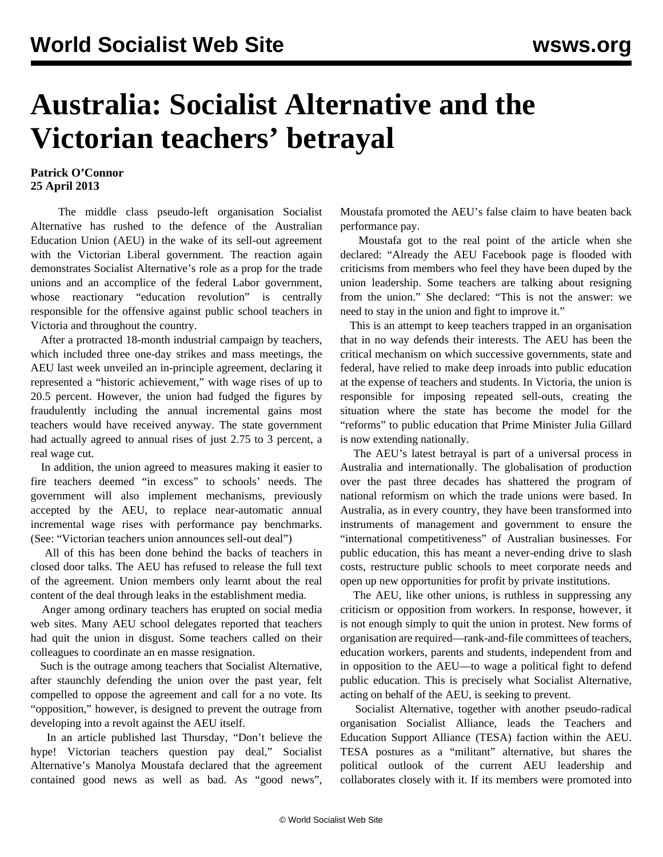## **Australia: Socialist Alternative and the Victorian teachers' betrayal**

## **Patrick O'Connor 25 April 2013**

 The middle class pseudo-left organisation Socialist Alternative has rushed to the defence of the Australian Education Union (AEU) in the wake of its sell-out agreement with the Victorian Liberal government. The reaction again demonstrates Socialist Alternative's role as a prop for the trade unions and an accomplice of the federal Labor government, whose reactionary "education revolution" is centrally responsible for the offensive against public school teachers in Victoria and throughout the country.

 After a protracted 18-month industrial campaign by teachers, which included three one-day strikes and mass meetings, the AEU last week unveiled an in-principle agreement, declaring it represented a "historic achievement," with wage rises of up to 20.5 percent. However, the union had fudged the figures by fraudulently including the annual incremental gains most teachers would have received anyway. The state government had actually agreed to annual rises of just 2.75 to 3 percent, a real wage cut.

 In addition, the union agreed to measures making it easier to fire teachers deemed "in excess" to schools' needs. The government will also implement mechanisms, previously accepted by the AEU, to replace near-automatic annual incremental wage rises with performance pay benchmarks. (See: ["Victorian teachers union announces sell-out deal"](/en/articles/2013/04/22/deal-a22.html))

 All of this has been done behind the backs of teachers in closed door talks. The AEU has refused to release the full text of the agreement. Union members only learnt about the real content of the deal through leaks in the establishment media.

 Anger among ordinary teachers has erupted on social media web sites. Many AEU school delegates reported that teachers had quit the union in disgust. Some teachers called on their colleagues to coordinate an en masse resignation.

 Such is the outrage among teachers that Socialist Alternative, after staunchly defending the union over the past year, felt compelled to oppose the agreement and call for a no vote. Its "opposition," however, is designed to prevent the outrage from developing into a revolt against the AEU itself.

 In an article published last Thursday, "Don't believe the hype! Victorian teachers question pay deal," Socialist Alternative's Manolya Moustafa declared that the agreement contained good news as well as bad. As "good news", Moustafa promoted the AEU's false claim to have beaten back performance pay.

 Moustafa got to the real point of the article when she declared: "Already the AEU Facebook page is flooded with criticisms from members who feel they have been duped by the union leadership. Some teachers are talking about resigning from the union." She declared: "This is not the answer: we need to stay in the union and fight to improve it."

 This is an attempt to keep teachers trapped in an organisation that in no way defends their interests. The AEU has been the critical mechanism on which successive governments, state and federal, have relied to make deep inroads into public education at the expense of teachers and students. In Victoria, the union is responsible for imposing repeated sell-outs, creating the situation where the state has become the model for the "reforms" to public education that Prime Minister Julia Gillard is now extending nationally.

 The AEU's latest betrayal is part of a universal process in Australia and internationally. The globalisation of production over the past three decades has shattered the program of national reformism on which the trade unions were based. In Australia, as in every country, they have been transformed into instruments of management and government to ensure the "international competitiveness" of Australian businesses. For public education, this has meant a never-ending drive to slash costs, restructure public schools to meet corporate needs and open up new opportunities for profit by private institutions.

 The AEU, like other unions, is ruthless in suppressing any criticism or opposition from workers. In response, however, it is not enough simply to quit the union in protest. New forms of organisation are required—rank-and-file committees of teachers, education workers, parents and students, independent from and in opposition to the AEU—to wage a political fight to defend public education. This is precisely what Socialist Alternative, acting on behalf of the AEU, is seeking to prevent.

 Socialist Alternative, together with another pseudo-radical organisation Socialist Alliance, leads the Teachers and Education Support Alliance (TESA) faction within the AEU. TESA postures as a "militant" alternative, but shares the political outlook of the current AEU leadership and collaborates closely with it. If its members were promoted into